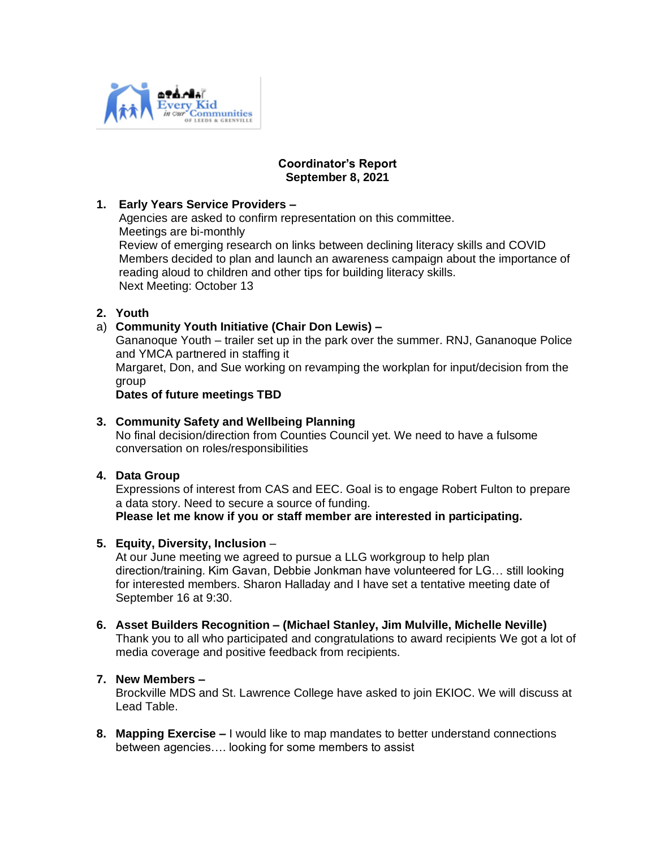

#### **Coordinator's Report September 8, 2021**

# **1. Early Years Service Providers –**

Agencies are asked to confirm representation on this committee. Meetings are bi-monthly Review of emerging research on links between declining literacy skills and COVID Members decided to plan and launch an awareness campaign about the importance of reading aloud to children and other tips for building literacy skills. Next Meeting: October 13

# **2. Youth**

# a) **Community Youth Initiative (Chair Don Lewis) –**

Gananoque Youth – trailer set up in the park over the summer. RNJ, Gananoque Police and YMCA partnered in staffing it

Margaret, Don, and Sue working on revamping the workplan for input/decision from the group

#### **Dates of future meetings TBD**

### **3. Community Safety and Wellbeing Planning**

No final decision/direction from Counties Council yet. We need to have a fulsome conversation on roles/responsibilities

# **4. Data Group**

Expressions of interest from CAS and EEC. Goal is to engage Robert Fulton to prepare a data story. Need to secure a source of funding. **Please let me know if you or staff member are interested in participating.**

# **5. Equity, Diversity, Inclusion** –

At our June meeting we agreed to pursue a LLG workgroup to help plan direction/training. Kim Gavan, Debbie Jonkman have volunteered for LG… still looking for interested members. Sharon Halladay and I have set a tentative meeting date of September 16 at 9:30.

**6. Asset Builders Recognition – (Michael Stanley, Jim Mulville, Michelle Neville)** Thank you to all who participated and congratulations to award recipients We got a lot of media coverage and positive feedback from recipients.

# **7. New Members –**

Brockville MDS and St. Lawrence College have asked to join EKIOC. We will discuss at Lead Table.

**8. Mapping Exercise –** I would like to map mandates to better understand connections between agencies…. looking for some members to assist